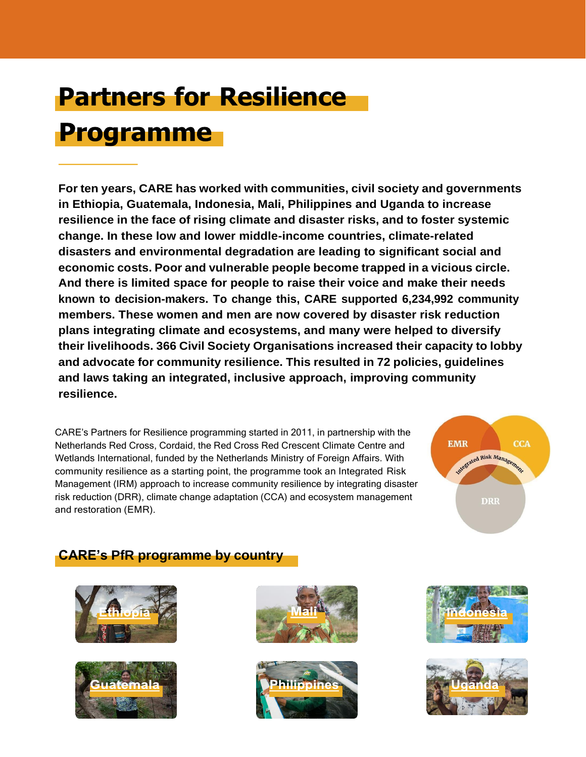# **Partners for Resilience Programme**

**For ten years, CARE has worked with communities, civil society and governments in Ethiopia, Guatemala, Indonesia, Mali, Philippines and Uganda to increase resilience in the face of rising climate and disaster risks, and to foster systemic change. In these low and lower middle-income countries, climate-related disasters and environmental degradation are leading to significant social and economic costs. Poor and vulnerable people become trapped in a vicious circle. And there is limited space for people to raise their voice and make their needs known to decision-makers. To change this, CARE supported 6,234,992 community members. These women and men are now covered by disaster risk reduction plans integrating climate and ecosystems, and many were helped to diversify their livelihoods. 366 Civil Society Organisations increased their capacity to lobby and advocate for community resilience. This resulted in 72 policies, guidelines and laws taking an integrated, inclusive approach, improving community resilience.**

CARE's Partners for Resilience programming started in 2011, in partnership with the Netherlands Red Cross, Cordaid, the Red Cross Red Crescent Climate Centre and Wetlands International, funded by the Netherlands Ministry of Foreign Affairs. With community resilience as a starting point, the programme took an Integrated Risk Management (IRM) approach to increase community resilience by integrating disaster risk reduction (DRR), climate change adaptation (CCA) and ecosystem management and restoration (EMR).



# **CARE's PfR programme by country**











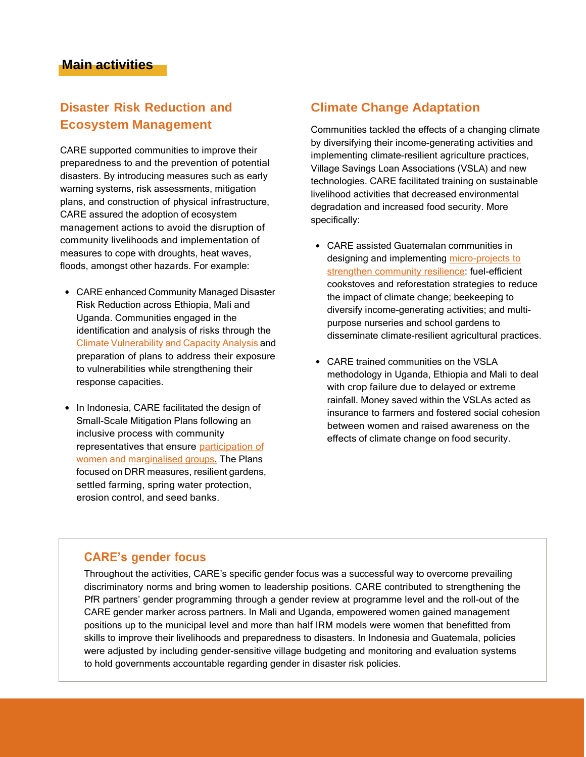# **Disaster Risk Reduction and Ecosystem Management**

CARE supported communities to improve their preparedness to and the prevention of potential disasters. By introducing measures such as early warning systems, risk assessments, mitigation plans, and construction of physical infrastructure, CARE assured the adoption of ecosystem management actions to avoid the disruption of community livelihoods and implementation of measures to cope with droughts, heat waves, floods, amongst other hazards. For example:

- CARE enhanced Community Managed Disaster Risk Reduction across Ethiopia, Mali and Uganda. Communities engaged in the identification and analysis of risks through the Climate [Vulnerability](https://careclimatechange.org/cvca/) and Capacity Analysis and preparation of plans to address their exposure to vulnerabilities while strengthening their response capacities.
- In Indonesia, CARE facilitated the design of Small-Scale Mitigation Plans following an inclusive process with community [representatives that ensure participation of](https://careclimatechange.org/regina-a-timorese-woman-with-a-voice/) [women and marginalised](https://careclimatechange.org/regina-a-timorese-woman-with-a-voice/) groups. The Plans focused on DRR measures, resilient gardens, settled farming, spring water protection, erosion control, and seed banks.

#### **Climate Change Adaptation**

[Communities](https://careclimatechange.org/regina-a-timorese-woman-with-a-voice/) tackled the effects of a changing climate by diversifying their [income-generating](https://careclimatechange.org/regina-a-timorese-woman-with-a-voice/) activities and implementing [climate-resilient](https://careclimatechange.org/regina-a-timorese-woman-with-a-voice/) agriculture practices, [Village Savings Loan Associations \(VSLA\) and new](https://careclimatechange.org/regina-a-timorese-woman-with-a-voice/) [technologies. CARE facilitated training on sustainable](https://careclimatechange.org/regina-a-timorese-woman-with-a-voice/) livelihood activities that decreased [environmental](https://careclimatechange.org/regina-a-timorese-woman-with-a-voice/) [degradation](https://careclimatechange.org/regina-a-timorese-woman-with-a-voice/) and increased food security. More [specifically:](https://careclimatechange.org/regina-a-timorese-woman-with-a-voice/)

- [CARE assisted Guatemalan communities in](https://careclimatechange.org/regina-a-timorese-woman-with-a-voice/) designing and implementing [micro-projects](https://library.partnersforresilience.nl/pages/view.php?ref=632&k) to strengthen community resilience: [fuel-efficient](https://careclimatechange.org/regina-a-timorese-woman-with-a-voice/) cookstoves and [reforestation](https://careclimatechange.org/regina-a-timorese-woman-with-a-voice/) strategies to reduce the impact of [climate change;](https://careclimatechange.org/regina-a-timorese-woman-with-a-voice/) beekeeping to [diversify income-generating](https://careclimatechange.org/regina-a-timorese-woman-with-a-voice/) activities; and multi[purpose nurseries](https://careclimatechange.org/regina-a-timorese-woman-with-a-voice/) and school gardens to disseminate [climate-resilient](https://careclimatechange.org/regina-a-timorese-woman-with-a-voice/) agricultural practices.
- [CARE trained communities on the VSLA](https://careclimatechange.org/regina-a-timorese-woman-with-a-voice/) [methodology](https://careclimatechange.org/regina-a-timorese-woman-with-a-voice/) in Uganda, Ethiopia and Mali to deal [with crop failure due to delayed or extreme](https://careclimatechange.org/regina-a-timorese-woman-with-a-voice/) [rainfall. Money saved within the VSLAs acted as](https://careclimatechange.org/regina-a-timorese-woman-with-a-voice/) [insurance](https://careclimatechange.org/regina-a-timorese-woman-with-a-voice/) to farmers and fostered social cohesion [between women and raised awareness on the](https://careclimatechange.org/regina-a-timorese-woman-with-a-voice/) effects of climate change on food [security.](https://careclimatechange.org/regina-a-timorese-woman-with-a-voice/)

#### **CARE's gender focus**

Throughout the activities, CARE's specific gender focus was a successful way to overcome prevailing discriminatory norms and bring women to leadership positions. CARE contributed to strengthening the PfR partners' gender programming through a gender review at programme level and the roll-out of the CARE gender marker across partners. In Mali and Uganda, empowered women gained management positions up to the municipal level and more than half IRM models were women that benefitted from skills to improve their livelihoods and preparedness to disasters. In Indonesia and Guatemala, policies were adjusted by including gender-sensitive village budgeting and monitoring and evaluation systems to hold governments accountable regarding gender in disaster risk policies.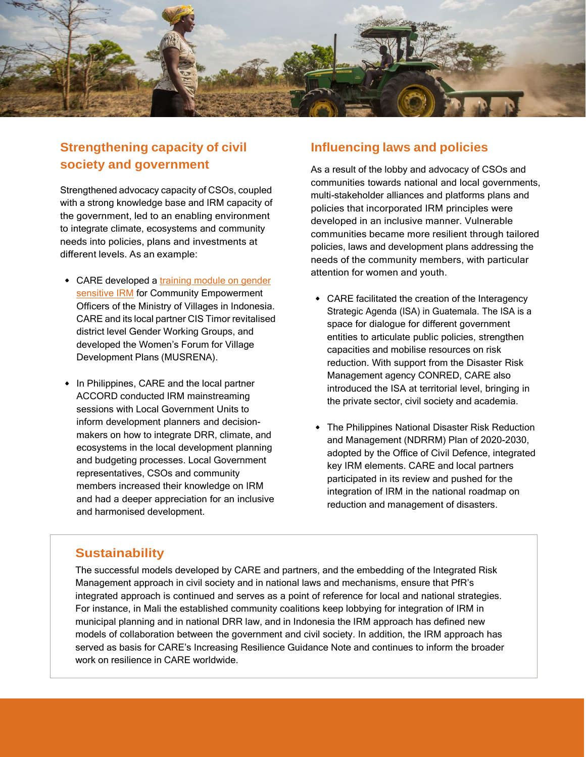

# **Strengthening capacity of civil society and government**

[Strengthened](https://careclimatechange.org/regina-a-timorese-woman-with-a-voice/) advocacy capacity of CSOs, coupled [with a strong knowledge base and IRM capacity of](https://careclimatechange.org/regina-a-timorese-woman-with-a-voice/) [the government, led to an enabling environment](https://careclimatechange.org/regina-a-timorese-woman-with-a-voice/) to integrate climate, [ecosystems](https://careclimatechange.org/regina-a-timorese-woman-with-a-voice/) and community [needs into policies, plans and investments at](https://careclimatechange.org/regina-a-timorese-woman-with-a-voice/) different levels. As an [example:](https://careclimatechange.org/regina-a-timorese-woman-with-a-voice/)

- [CARE developed a training](https://pfrindonesia.id/wp-content/uploads/2020/06/PELATIH-Buku-pegangan-pelatih-modul-PRT_rev-RSY-RIO-Print.pdf) module on gender sensitive IRM for [Community Empowerment](https://careclimatechange.org/regina-a-timorese-woman-with-a-voice/) [Officers of the Ministry of Villages in Indonesia.](https://careclimatechange.org/regina-a-timorese-woman-with-a-voice/) CARE and its local partner CIS Timor [revitalised](https://careclimatechange.org/regina-a-timorese-woman-with-a-voice/) [district level Gender Working Groups, and](https://careclimatechange.org/regina-a-timorese-woman-with-a-voice/) [developed the Women's Forum for Village](https://careclimatechange.org/regina-a-timorese-woman-with-a-voice/) Development Plans [\(MUSRENA\).](https://careclimatechange.org/regina-a-timorese-woman-with-a-voice/)
- [In Philippines, CARE and the local partner](https://careclimatechange.org/regina-a-timorese-woman-with-a-voice/) [ACCORD conducted IRM mainstreaming](https://careclimatechange.org/regina-a-timorese-woman-with-a-voice/) sessions with Local [Government](https://careclimatechange.org/regina-a-timorese-woman-with-a-voice/) Units to inform [development](https://careclimatechange.org/regina-a-timorese-woman-with-a-voice/) planners and decision[makers on how to integrate DRR, climate, and](https://careclimatechange.org/regina-a-timorese-woman-with-a-voice/) ecosystems in the local [development](https://careclimatechange.org/regina-a-timorese-woman-with-a-voice/) planning [and budgeting processes. Local Government](https://careclimatechange.org/regina-a-timorese-woman-with-a-voice/) [representatives, CSOs and community](https://careclimatechange.org/regina-a-timorese-woman-with-a-voice/) members increased their [knowledge](https://careclimatechange.org/regina-a-timorese-woman-with-a-voice/) on IRM and had a deeper [appreciation](https://careclimatechange.org/regina-a-timorese-woman-with-a-voice/) for an inclusive and [harmonised development.](https://careclimatechange.org/regina-a-timorese-woman-with-a-voice/)

#### **Influencing laws and policies**

[As a result of the lobby and advocacy of CSOs and](https://careclimatechange.org/regina-a-timorese-woman-with-a-voice/) communities towards national and local [governments,](https://careclimatechange.org/regina-a-timorese-woman-with-a-voice/) [multi-stakeholder](https://careclimatechange.org/regina-a-timorese-woman-with-a-voice/) alliances and platforms plans and [policies that incorporated IRM principles were](https://careclimatechange.org/regina-a-timorese-woman-with-a-voice/) [developed in an inclusive manner. Vulnerable](https://careclimatechange.org/regina-a-timorese-woman-with-a-voice/) [communities became more resilient through tailored](https://careclimatechange.org/regina-a-timorese-woman-with-a-voice/) [policies, laws and development plans addressing the](https://careclimatechange.org/regina-a-timorese-woman-with-a-voice/) [needs of the community members, with particular](https://careclimatechange.org/regina-a-timorese-woman-with-a-voice/) [attention](https://careclimatechange.org/regina-a-timorese-woman-with-a-voice/) for women and youth.

- [CARE facilitated the creation of the Interagency](https://careclimatechange.org/regina-a-timorese-woman-with-a-voice/) Strategic Agenda (ISA) in [Guatemala.](https://careclimatechange.org/regina-a-timorese-woman-with-a-voice/) The ISA is a space for dialogue for different [government](https://careclimatechange.org/regina-a-timorese-woman-with-a-voice/) entities to articulate public policies, [strengthen](https://careclimatechange.org/regina-a-timorese-woman-with-a-voice/) [capacities and mobilise resources on risk](https://careclimatechange.org/regina-a-timorese-woman-with-a-voice/) [reduction.](https://careclimatechange.org/regina-a-timorese-woman-with-a-voice/) With support from the Disaster Risk [Management agency CONRED, CARE also](https://careclimatechange.org/regina-a-timorese-woman-with-a-voice/) [introduced](https://careclimatechange.org/regina-a-timorese-woman-with-a-voice/) the ISA at territorial level, bringing in the private sector, civil society and [academia.](https://careclimatechange.org/regina-a-timorese-woman-with-a-voice/)
- [The Philippines National Disaster Risk Reduction](https://careclimatechange.org/regina-a-timorese-woman-with-a-voice/) [and Management \(NDRRM\) Plan of 2020-2030,](https://careclimatechange.org/regina-a-timorese-woman-with-a-voice/) adopted by the Office of Civil Defence, [integrated](https://careclimatechange.org/regina-a-timorese-woman-with-a-voice/) key [IRM elements. CARE and local partners](https://careclimatechange.org/regina-a-timorese-woman-with-a-voice/) [participated](https://careclimatechange.org/regina-a-timorese-woman-with-a-voice/) in its review and pushed for the [integration](https://careclimatechange.org/regina-a-timorese-woman-with-a-voice/) of IRM in the national roadmap on [reduction and](https://careclimatechange.org/regina-a-timorese-woman-with-a-voice/) management of disasters.

# **Sustainability**

The successful models developed by CARE and partners, and the embedding of the Integrated Risk Management approach in civil society and in national laws and mechanisms, ensure that PfR's integrated approach is continued and serves as a point of reference for local and national strategies. For instance, in Mali the established community coalitions keep lobbying for integration of IRM in municipal planning and in national DRR law, and in Indonesia the IRM approach has defined new models of collaboration between the government and civil society. In addition, the IRM approach has served as basis for CARE's Increasing Resilience Guidance Note and continues to inform the broader work on resilience in CARE worldwide.